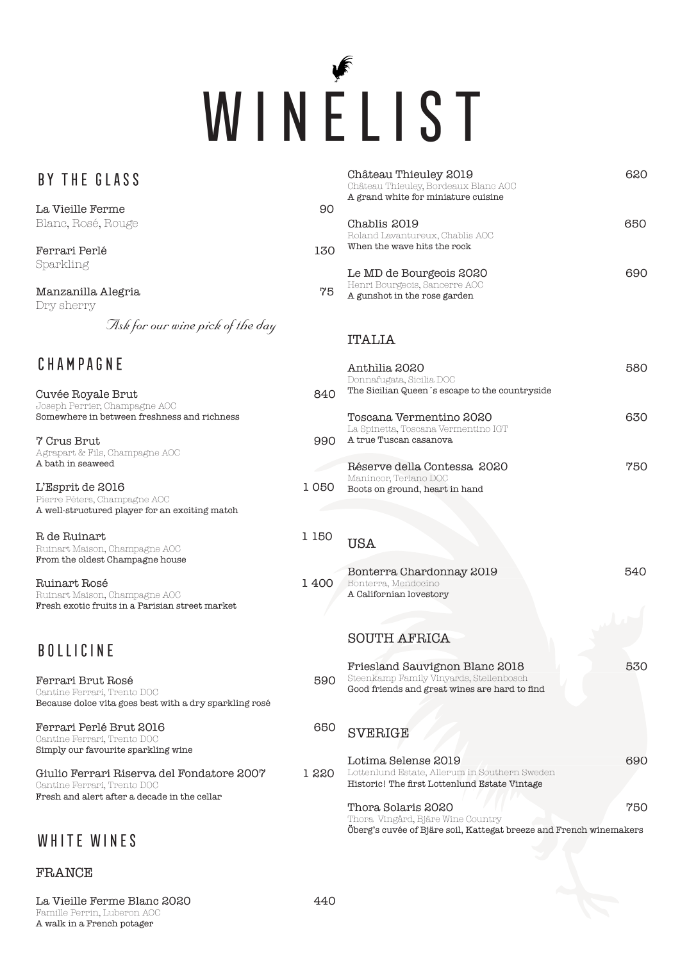

| BY THE GLASS                                                                          |       | Château Thieuley 2019<br>Château Thieuley, Bordeaux Blanc AOC<br>A grand white for miniature cuisine    | 620 |
|---------------------------------------------------------------------------------------|-------|---------------------------------------------------------------------------------------------------------|-----|
| La Vieille Ferme                                                                      | 90    |                                                                                                         |     |
| Blanc, Rosé, Rouge                                                                    |       | Chablis 2019                                                                                            | 650 |
|                                                                                       |       | Roland Lavantureux, Chablis AOC                                                                         |     |
| Ferrari Perlé                                                                         | 130   | When the wave hits the rock                                                                             |     |
| Sparkling                                                                             |       | Le MD de Bourgeois 2020                                                                                 | 690 |
|                                                                                       |       | Henri Bourgeois, Sancerre AOC                                                                           |     |
| Manzanilla Alegria<br>Dry sherry                                                      | 75    | A gunshot in the rose garden                                                                            |     |
|                                                                                       |       |                                                                                                         |     |
| Ask for our wine pick of the day                                                      |       | <b>ITALIA</b>                                                                                           |     |
|                                                                                       |       |                                                                                                         |     |
| CHAMPAGNE                                                                             |       | Anthilia 2020                                                                                           | 580 |
|                                                                                       |       | Donnafugata, Sicilia DOC                                                                                |     |
| Cuvée Royale Brut                                                                     | 840   | The Sicilian Queen's escape to the countryside                                                          |     |
| Joseph Perrier, Champagne AOC<br>Somewhere in between freshness and richness          |       | Toscana Vermentino 2020                                                                                 | 630 |
|                                                                                       |       | La Spinetta, Toscana Vermentino IGT                                                                     |     |
| 7 Crus Brut                                                                           | 990   | A true Tuscan casanova                                                                                  |     |
| Agrapart & Fils, Champagne AOC<br>A bath in seaweed                                   |       | Réserve della Contessa 2020                                                                             | 750 |
|                                                                                       |       | Manincor, Terlano DOC                                                                                   |     |
| L'Esprit de 2016                                                                      | 1050  | Boots on ground, heart in hand                                                                          |     |
| Pierre Péters, Champagne AOC<br>A well-structured player for an exciting match        |       |                                                                                                         |     |
|                                                                                       |       |                                                                                                         |     |
| R de Ruinart                                                                          | 1 150 | <b>USA</b>                                                                                              |     |
| Ruinart Maison, Champagne AOC<br>From the oldest Champagne house                      |       |                                                                                                         |     |
|                                                                                       |       | Bonterra Chardonnay 2019                                                                                | 540 |
| Ruinart Rosé                                                                          | 1400  | Bonterra, Mendocino                                                                                     |     |
| Ruinart Maison, Champagne AOC<br>Fresh exotic fruits in a Parisian street market      |       | A Californian lovestory                                                                                 |     |
|                                                                                       |       |                                                                                                         |     |
|                                                                                       |       | <b>SOUTH AFRICA</b>                                                                                     |     |
| <b>BOLLICINE</b>                                                                      |       |                                                                                                         |     |
|                                                                                       |       | Friesland Sauvignon Blanc 2018                                                                          | 530 |
| Ferrari Brut Rosé                                                                     |       | 590 Steenkamp Family Vinyards, Stellenbosch                                                             |     |
| Cantine Ferrari, Trento DOC<br>Because dolce vita goes best with a dry sparkling rosé |       | Good friends and great wines are hard to find                                                           |     |
|                                                                                       |       |                                                                                                         |     |
| Ferrari Perlé Brut 2016                                                               | 650   | <b>SVERIGE</b>                                                                                          |     |
| Cantine Ferrari, Trento DOC<br>Simply our favourite sparkling wine                    |       |                                                                                                         |     |
|                                                                                       |       | Lotima Selense 2019                                                                                     | 690 |
| Giulio Ferrari Riserva del Fondatore 2007                                             | 1 220 | Lottenlund Estate, Allerum in Southern Sweden                                                           |     |
| Cantine Ferrari, Trento DOC<br>Fresh and alert after a decade in the cellar           |       | Historic! The first Lottenlund Estate Vintage                                                           |     |
|                                                                                       |       | Thora Solaris 2020                                                                                      | 750 |
|                                                                                       |       | Thora Vingård, Bjäre Wine Country<br>Öberg's cuvée of Bjäre soil, Kattegat breeze and French winemakers |     |
| WHITE WINES                                                                           |       |                                                                                                         |     |
|                                                                                       |       |                                                                                                         |     |

## FRANCE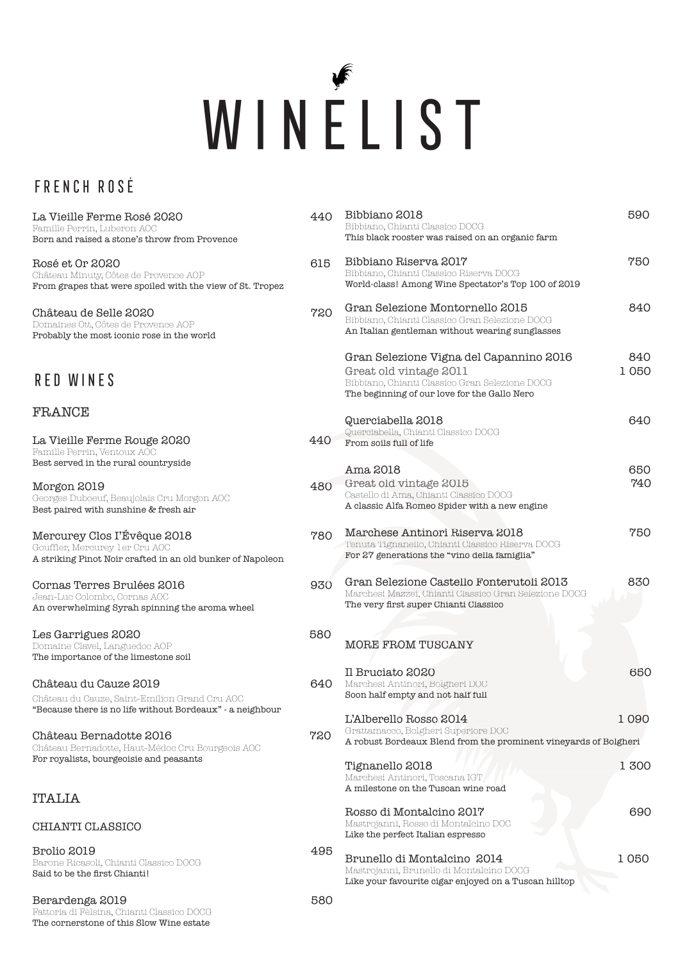# WINELIST

## FRENCH ROSÉ

| La Vieille Ferme Rosé 2020<br>Famille Perrin, Luberon AOC<br>Born and raised a stone's throw from Provence                          | 440 | Bibbiano 2018<br>Bibbiano, Chianti Classico DOCG<br>This black rooster was raised on an organic farm                                                                | 590         |
|-------------------------------------------------------------------------------------------------------------------------------------|-----|---------------------------------------------------------------------------------------------------------------------------------------------------------------------|-------------|
| Rosé et Or 2020<br>Château Minuty, Côtes de Provence AOP<br>From grapes that were spoiled with the view of St. Tropez               | 615 | Bibbiano Riserva 2017<br>Bibbiano, Chianti Classico Riserva DOCG<br>World-class! Among Wine Spectator's Top 100 of 2019                                             | 750         |
| Château de Selle 2020<br>Domaines Ott, Côtes de Provence AOP<br>Probably the most iconic rose in the world                          | 720 | Gran Selezione Montornello 2015<br>Bibbiano, Chianti Classico Gran Selezione DOCG<br>An Italian gentleman without wearing sunglasses                                | 840         |
| <b>RED WINES</b>                                                                                                                    |     | Gran Selezione Vigna del Capannino 2016<br>Great old vintage 2011<br>Bibbiano, Chianti Classico Gran Selezione DOCG<br>The beginning of our love for the Gallo Nero | 840<br>1050 |
| FRANCE                                                                                                                              |     | Querciabella 2018                                                                                                                                                   | 640         |
| La Vieille Ferme Rouge 2020<br>Famille Perrin, Ventoux AOC                                                                          | 440 | Querciabella, Chianti Classico DOCG<br>From soils full of life                                                                                                      |             |
| Best served in the rural countryside                                                                                                |     | Ama 2018                                                                                                                                                            | 650         |
| Morgon 2019<br>Georges Duboeuf, Beaujolais Cru Morgon AOC<br>Best paired with sunshine & fresh air                                  | 480 | Great old vintage 2015<br>Castello di Ama, Chianti Classico DOCG<br>A classic Alfa Romeo Spider with a new engine                                                   | 740         |
| Mercurey Clos I'Évêque 2018<br>Gouffier, Mercurey ler Cru AOC<br>A striking Pinot Noir crafted in an old bunker of Napoleon         | 780 | Marchese Antinori Riserva 2018<br>Tenuta Tignanello, Chianti Classico Riserva DOCG<br>For 27 generations the "vino della famiglia"                                  | 750         |
| Cornas Terres Brulées 2016<br>Jean-Luc Colombo, Cornas AOC<br>An overwhelming Syrah spinning the aroma wheel                        | 930 | Gran Selezione Castello Fonterutoli 2013<br>Marchesi Mazzei, Chianti Classico Gran Selezione DOCG<br>The very first super Chianti Classico                          | 830         |
| Les Garrigues 2020<br>Domaine Clavel, Languedoc AOP<br>The importance of the limestone soil                                         | 580 | MORE FROM TUSCANY                                                                                                                                                   |             |
|                                                                                                                                     |     | Il Bruciato 2020                                                                                                                                                    | 650         |
| Château du Cauze 2019<br>Château du Cauze, Saint-Emilion Grand Cru AOC<br>"Because there is no life without Bordeaux" - a neighbour | 640 | Marchesi Antinori, Bolgheri DOC<br>Soon half empty and not half full                                                                                                |             |
|                                                                                                                                     |     | L'Alberello Rosso 2014                                                                                                                                              | 1090        |
| Château Bernadotte 2016<br>Château Bernadotte, Haut-Médoc Cru Bourgeois AOC                                                         | 720 | Grattamacco, Bolgheri Superiore DOC<br>A robust Bordeaux Blend from the prominent vineyards of Bolgheri                                                             |             |
| For royalists, bourgeoisie and peasants                                                                                             |     | Tignanello 2018<br>Marchesi Antinori, Toscana IGT<br>A milestone on the Tuscan wine road                                                                            | 1 300       |
| <b>ITALIA</b>                                                                                                                       |     |                                                                                                                                                                     |             |
| CHIANTI CLASSICO                                                                                                                    |     | Rosso di Montalcino 2017<br>Mastrojanni, Rosso di Montalcino DOC<br>Like the perfect Italian espresso                                                               | 690         |
| Brolio 2019                                                                                                                         | 495 |                                                                                                                                                                     |             |
| Barone Ricasoli, Chianti Classico DOCG<br>Said to be the first Chianti!                                                             |     | Brunello di Montalcino 2014<br>Mastrojanni, Brunello di Montalcino DOCG<br>Like your favourite cigar enjoyed on a Tuscan hilltop                                    | 1 050       |
| Berardenga 2019<br>Fattoria di Fèlsina, Chianti Classico DOCG<br>The cornerstone of this Slow Wine estate                           | 580 |                                                                                                                                                                     |             |